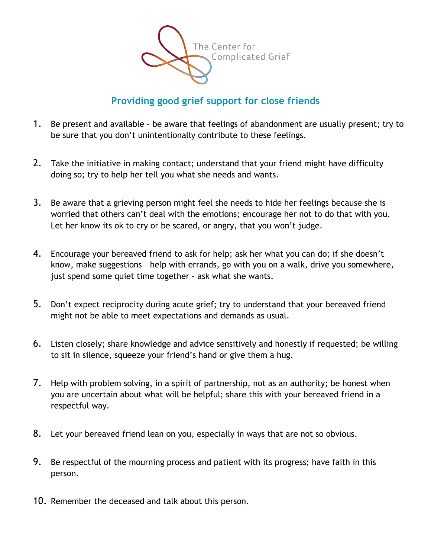

## **Providing good grief support for close friends**

- 1. Be present and available be aware that feelings of abandonment are usually present; try to be sure that you don't unintentionally contribute to these feelings.
- 2. Take the initiative in making contact; understand that your friend might have difficulty doing so; try to help her tell you what she needs and wants.
- 3. Be aware that a grieving person might feel she needs to hide her feelings because she is worried that others can't deal with the emotions; encourage her not to do that with you. Let her know its ok to cry or be scared, or angry, that you won't judge.
- 4. Encourage your bereaved friend to ask for help; ask her what you can do; if she doesn't know, make suggestions – help with errands, go with you on a walk, drive you somewhere, just spend some quiet time together – ask what she wants.
- 5. Don't expect reciprocity during acute grief; try to understand that your bereaved friend might not be able to meet expectations and demands as usual.
- 6. Listen closely; share knowledge and advice sensitively and honestly if requested; be willing to sit in silence, squeeze your friend's hand or give them a hug.
- 7. Help with problem solving, in a spirit of partnership, not as an authority; be honest when you are uncertain about what will be helpful; share this with your bereaved friend in a respectful way.
- 8. Let your bereaved friend lean on you, especially in ways that are not so obvious.
- 9. Be respectful of the mourning process and patient with its progress; have faith in this person.
- 10. Remember the deceased and talk about this person.